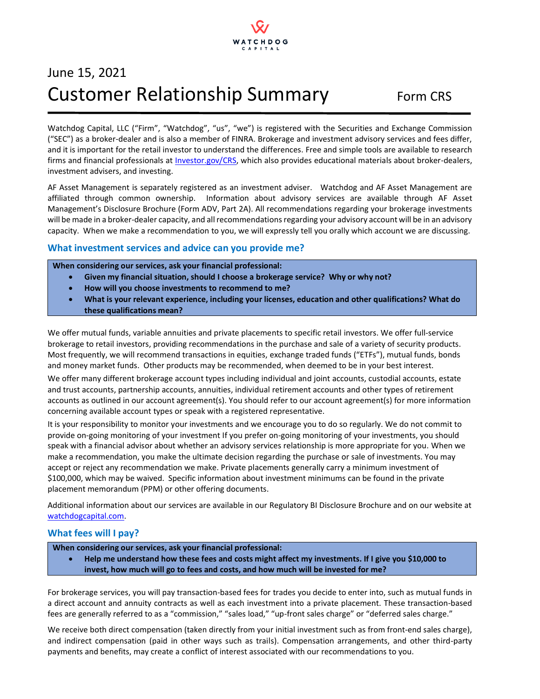

# June 15, 2021 Customer Relationship Summary Form CRS

Watchdog Capital, LLC ("Firm", "Watchdog", "us", "we") is registered with the Securities and Exchange Commission ("SEC") as a broker-dealer and is also a member of FINRA. Brokerage and investment advisory services and fees differ, and it is important for the retail investor to understand the differences. Free and simple tools are available to research firms and financial professionals at *Investor.gov/CRS*, which also provides educational materials about broker-dealers, investment advisers, and investing.

AF Asset Management is separately registered as an investment adviser. Watchdog and AF Asset Management are affiliated through common ownership. Information about advisory services are available through AF Asset Management's Disclosure Brochure (Form ADV, Part 2A). All recommendations regarding your brokerage investments will be made in a broker-dealer capacity, and all recommendations regarding your advisory account will be in an advisory capacity. When we make a recommendation to you, we will expressly tell you orally which account we are discussing.

# **What investment services and advice can you provide me?**

**When considering our services, ask your financial professional:**

- **Given my financial situation, should I choose a brokerage service? Why or why not?**
- **How will you choose investments to recommend to me?**
- **What is your relevant experience, including your licenses, education and other qualifications? What do these qualifications mean?**

We offer mutual funds, variable annuities and private placements to specific retail investors. We offer full-service brokerage to retail investors, providing recommendations in the purchase and sale of a variety of security products. Most frequently, we will recommend transactions in equities, exchange traded funds ("ETFs"), mutual funds, bonds and money market funds. Other products may be recommended, when deemed to be in your best interest.

We offer many different brokerage account types including individual and joint accounts, custodial accounts, estate and trust accounts, partnership accounts, annuities, individual retirement accounts and other types of retirement accounts as outlined in our account agreement(s). You should refer to our account agreement(s) for more information concerning available account types or speak with a registered representative.

It is your responsibility to monitor your investments and we encourage you to do so regularly. We do not commit to provide on-going monitoring of your investment If you prefer on-going monitoring of your investments, you should speak with a financial advisor about whether an advisory services relationship is more appropriate for you. When we make a recommendation, you make the ultimate decision regarding the purchase or sale of investments. You may accept or reject any recommendation we make. Private placements generally carry a minimum investment of \$100,000, which may be waived. Specific information about investment minimums can be found in the private placement memorandum (PPM) or other offering documents.

Additional information about our services are available in our Regulatory BI Disclosure Brochure and on our website at [watchdogcapital.com.](http://www.watchdogcapital.com/)

# **What fees will I pay?**

**When considering our services, ask your financial professional:**

• **Help me understand how these fees and costs might affect my investments. If I give you \$10,000 to invest, how much will go to fees and costs, and how much will be invested for me?**

For brokerage services, you will pay transaction-based fees for trades you decide to enter into, such as mutual funds in a direct account and annuity contracts as well as each investment into a private placement. These transaction-based fees are generally referred to as a "commission," "sales load," "up-front sales charge" or "deferred sales charge."

We receive both direct compensation (taken directly from your initial investment such as from front-end sales charge), and indirect compensation (paid in other ways such as trails). Compensation arrangements, and other third-party payments and benefits, may create a conflict of interest associated with our recommendations to you.